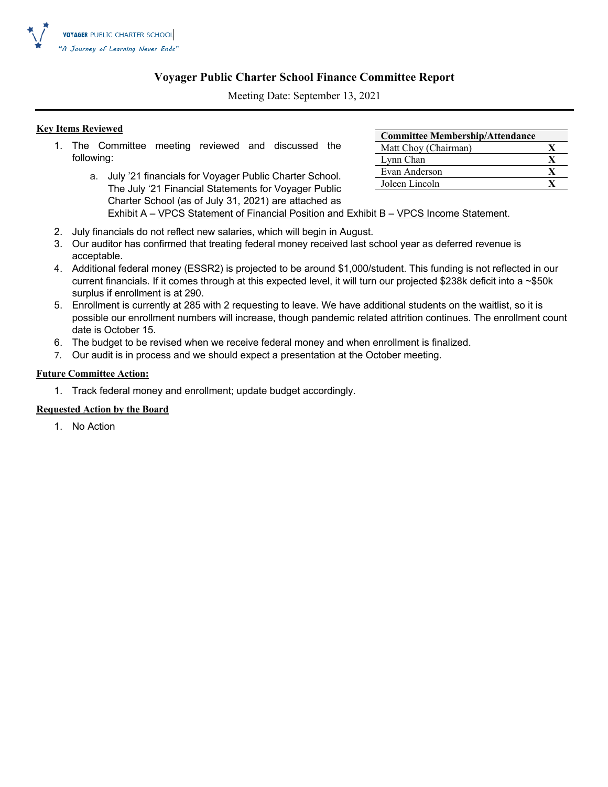

### **Voyager Public Charter School Finance Committee Report**

Meeting Date: September 13, 2021

#### **Key Items Reviewed**

- 1. The Committee meeting reviewed and discussed the following:
	- a. July '21 financials for Voyager Public Charter School. The July '21 Financial Statements for Voyager Public Charter School (as of July 31, 2021) are attached as Exhibit A – VPCS Statement of Financial Position and Exhibit B – VPCS Income Statement.
- 2. July financials do not reflect new salaries, which will begin in August.
- 3. Our auditor has confirmed that treating federal money received last school year as deferred revenue is acceptable.
- 4. Additional federal money (ESSR2) is projected to be around \$1,000/student. This funding is not reflected in our current financials. If it comes through at this expected level, it will turn our projected \$238k deficit into a ~\$50k surplus if enrollment is at 290.
- 5. Enrollment is currently at 285 with 2 requesting to leave. We have additional students on the waitlist, so it is possible our enrollment numbers will increase, though pandemic related attrition continues. The enrollment count date is October 15.
- 6. The budget to be revised when we receive federal money and when enrollment is finalized.
- 7. Our audit is in process and we should expect a presentation at the October meeting.

#### **Future Committee Action:**

1. Track federal money and enrollment; update budget accordingly.

#### **Requested Action by the Board**

1. No Action

| <b>Committee Membership/Attendance</b> |  |
|----------------------------------------|--|
| Matt Choy (Chairman)                   |  |
| Lynn Chan                              |  |
| Evan Anderson                          |  |
| Joleen Lincoln                         |  |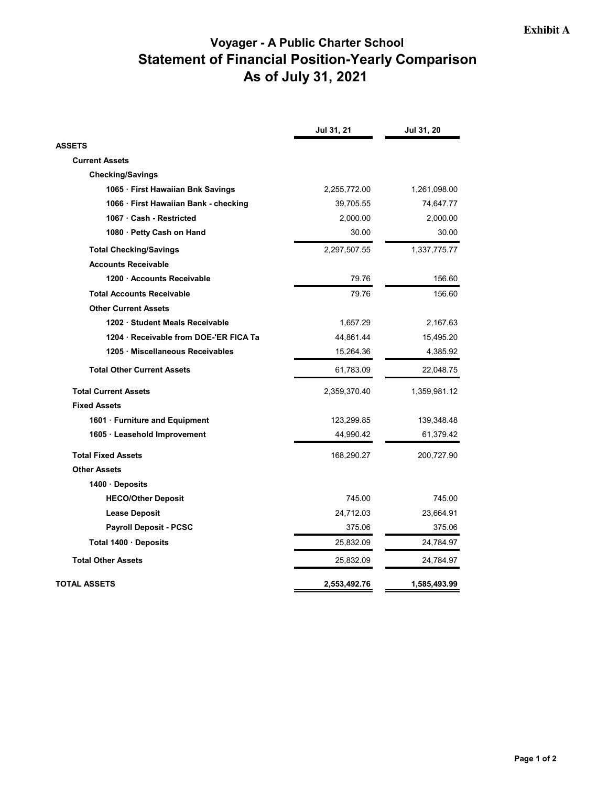### **Voyager - A Public Charter School Statement of Financial Position-Yearly Comparison As of July 31, 2021**

|                                       | Jul 31, 21   | Jul 31, 20   |
|---------------------------------------|--------------|--------------|
| <b>ASSETS</b>                         |              |              |
| <b>Current Assets</b>                 |              |              |
| <b>Checking/Savings</b>               |              |              |
| 1065 · First Hawaiian Bnk Savings     | 2,255,772.00 | 1,261,098.00 |
| 1066 · First Hawaiian Bank - checking | 39,705.55    | 74,647.77    |
| 1067 · Cash - Restricted              | 2,000.00     | 2,000.00     |
| 1080 · Petty Cash on Hand             | 30.00        | 30.00        |
| <b>Total Checking/Savings</b>         | 2,297,507.55 | 1,337,775.77 |
| <b>Accounts Receivable</b>            |              |              |
| 1200 Accounts Receivable              | 79.76        | 156.60       |
| <b>Total Accounts Receivable</b>      | 79.76        | 156.60       |
| <b>Other Current Assets</b>           |              |              |
| 1202 · Student Meals Receivable       | 1,657.29     | 2,167.63     |
| 1204 Receivable from DOE-'ER FICA Ta  | 44,861.44    | 15,495.20    |
| 1205 · Miscellaneous Receivables      | 15,264.36    | 4,385.92     |
| <b>Total Other Current Assets</b>     | 61,783.09    | 22,048.75    |
| <b>Total Current Assets</b>           | 2,359,370.40 | 1,359,981.12 |
| <b>Fixed Assets</b>                   |              |              |
| 1601 · Furniture and Equipment        | 123,299.85   | 139,348.48   |
| 1605 · Leasehold Improvement          | 44,990.42    | 61,379.42    |
| <b>Total Fixed Assets</b>             | 168,290.27   | 200,727.90   |
| <b>Other Assets</b>                   |              |              |
| 1400 Deposits                         |              |              |
| <b>HECO/Other Deposit</b>             | 745.00       | 745.00       |
| <b>Lease Deposit</b>                  | 24,712.03    | 23,664.91    |
| <b>Payroll Deposit - PCSC</b>         | 375.06       | 375.06       |
| Total 1400 · Deposits                 | 25,832.09    | 24,784.97    |
| <b>Total Other Assets</b>             | 25,832.09    | 24,784.97    |
| <b>TOTAL ASSETS</b>                   | 2,553,492.76 | 1,585,493.99 |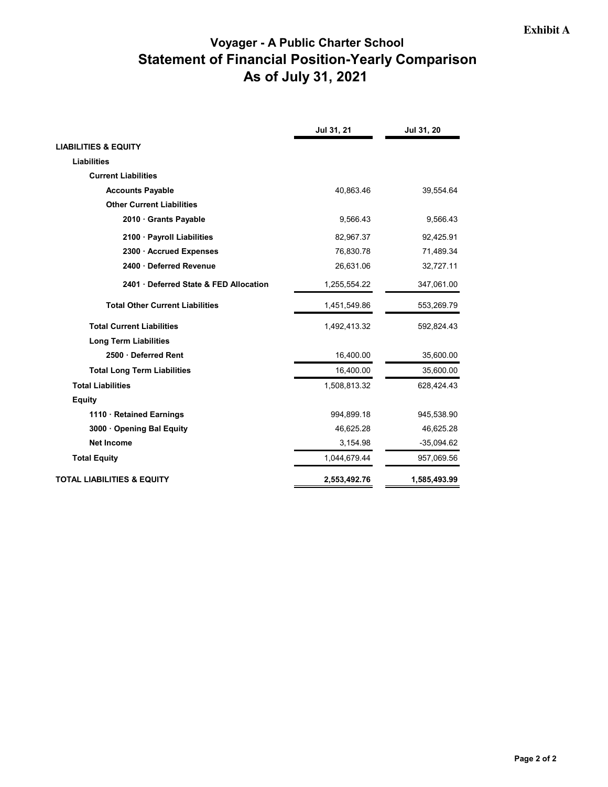### **Voyager - A Public Charter School Statement of Financial Position-Yearly Comparison As of July 31, 2021**

|                                        | Jul 31, 21   | Jul 31, 20   |
|----------------------------------------|--------------|--------------|
| <b>LIABILITIES &amp; EQUITY</b>        |              |              |
| <b>Liabilities</b>                     |              |              |
| <b>Current Liabilities</b>             |              |              |
| <b>Accounts Payable</b>                | 40,863.46    | 39,554.64    |
| <b>Other Current Liabilities</b>       |              |              |
| 2010 Grants Payable                    | 9,566.43     | 9,566.43     |
| 2100 · Payroll Liabilities             | 82,967.37    | 92,425.91    |
| 2300 · Accrued Expenses                | 76,830.78    | 71,489.34    |
| 2400 Deferred Revenue                  | 26,631.06    | 32,727.11    |
| 2401 Deferred State & FED Allocation   | 1,255,554.22 | 347,061.00   |
| <b>Total Other Current Liabilities</b> | 1,451,549.86 | 553,269.79   |
| <b>Total Current Liabilities</b>       | 1,492,413.32 | 592,824.43   |
| <b>Long Term Liabilities</b>           |              |              |
| 2500 Deferred Rent                     | 16,400.00    | 35,600.00    |
| <b>Total Long Term Liabilities</b>     | 16,400.00    | 35,600.00    |
| <b>Total Liabilities</b>               | 1,508,813.32 | 628,424.43   |
| <b>Equity</b>                          |              |              |
| 1110 · Retained Earnings               | 994,899.18   | 945,538.90   |
| 3000 · Opening Bal Equity              | 46,625.28    | 46,625.28    |
| <b>Net Income</b>                      | 3,154.98     | $-35,094.62$ |
| <b>Total Equity</b>                    | 1,044,679.44 | 957,069.56   |
| <b>TOTAL LIABILITIES &amp; EQUITY</b>  | 2,553,492.76 | 1,585,493.99 |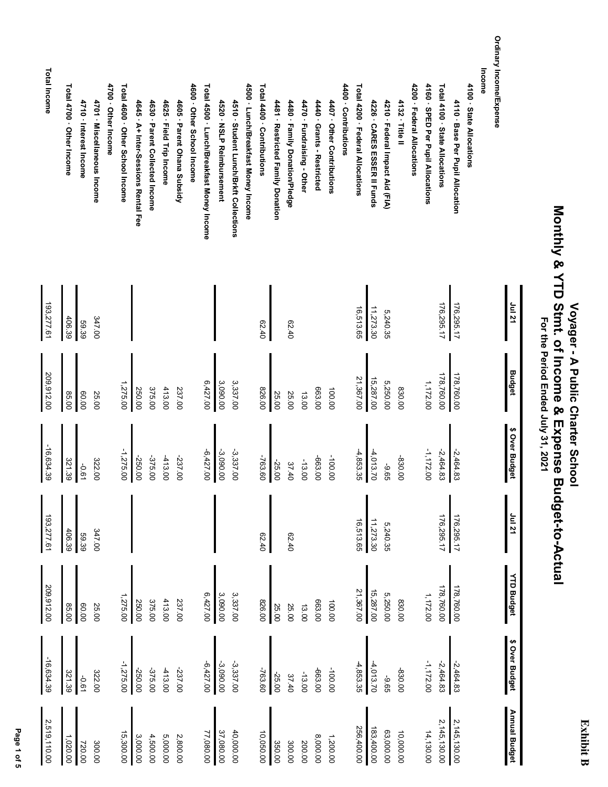| - |  |
|---|--|
|   |  |

# Voyager - A Public Charter School<br>Monthly & YTD Stmt. of Income & Expense Budget-to-Actual<br>For the Period Ended July 31, 2021  **Monthly & YTD Stmt. of Income & Expense Budget-to-Actual Voyager - A Public Charter School**

 **For the Period Ended July 31, 2021**

|                                           | <b>1d</b> 21 | <b>Budget</b> | \$ Over Budget             | <b>Jul 21</b> | <b>YTD Budget</b> | \$ Over Budget | <b>Annual Budget</b> |
|-------------------------------------------|--------------|---------------|----------------------------|---------------|-------------------|----------------|----------------------|
| Ordinary Income/Expense                   |              |               |                            |               |                   |                |                      |
| Income                                    |              |               |                            |               |                   |                |                      |
| 4100 State Allocations                    |              |               |                            |               |                   |                |                      |
| 4110 · Base Per Pupil Allocation          | 176,295.17   | 178,760.00    |                            | 176,295.17    | 178,760.00        | $-2,464.83$    | 2,145,130.00         |
| Total 4100 · State Allocations            | 176,295.17   | 178,760.00    | $-2,464.83$<br>$-2,464.83$ | 176,295.17    | 178,760.00        | $-2,464.83$    | 2,145,130.00         |
| 4160 · SPED Per Pupil Allocations         |              | 1,172.00      | $-1,172.00$                |               | 1,172.00          | $-1, 172.00$   | 14,130.00            |
| 4200 · Federal Allocations                |              |               |                            |               |                   |                |                      |
| 4132 · Title II                           |              | 830.00        | -830.00                    |               | 00'08             | -830.00        | 10,000.00            |
| 4210 · Federal Impact Aid (FIA)           | 5,240.35     | 5,250.00      | -9.65                      | 5,240.35      | 5,250.00          | -9.65          | 63,000.00            |
| 4226 · CARES ESSER II Funds               | 11,273.30    | 15,287.00     | $-4,013.70$                | 11,273.30     | 15,287.00         | $-4,013.70$    | 183,400.00           |
| Total 4200 · Federal Allocations          | 16,513.65    | 21,367.00     | $-4,853.35$                | 16,513.65     | 21,367.00         | $-4,853.35$    | 256,400.00           |
| 4400 - Contributions                      |              |               |                            |               |                   |                |                      |
| 4407 · Other Contributions                |              | 100.00        | -100.00                    |               | 100.00            | -100.00        | 1,200.00             |
| 4440 · Grants - Restricted                |              | 663.00        | -663.00                    |               | 663.00            | -663.00        | 8,000.00             |
| 4470 · Fundraising - Other                |              | 13.00         | $-13.00$                   |               | 13.00             | $-13.00$       | 200.00               |
| 4480 · Family Donation/Pledge             | 07'79        | 25.00         | 37.40                      | 62.40         | 25.00             | 37.40          | 300.00               |
| 4481 · Restricted Family Donation         |              | 25.00         | $-25.00$                   |               | 25.00             | -25.00         | 350.00               |
| Total 4400 · Contributions                | 07:40        | 826.00        | -763.60                    | 62.40         | 00'928            | -763.60        | 10,050.00            |
| 4500 · Lunch/Breakfast Money Income       |              |               |                            |               |                   |                |                      |
| 4510 · Student Lunch/Brkft Collections    |              | 3,337.00      | -3,337.00                  |               | 3,337.00          | -3,337.00      | 40,000.00            |
| 4520 · NSLP Reimbursement                 |              | 3,090.00      | -3,090.00                  |               | 3,090.00          | $-3,090.00$    | 37,080.00            |
| Total 4500 · Lunch/Breakfast Money Income |              | 6,427.00      | $-6,427.00$                |               | 6,427.00          | $-6,427.00$    | 77,080.00            |
| 4600 · Other School Income                |              |               |                            |               |                   |                |                      |
| 4605 · Parent Ohana Subsidy               |              | 237.00        | -237.00                    |               | 237.00            | -237.00        | 2,800.00             |
| 4625 · Field Trip Income                  |              | 413.00        | 413.00                     |               | 413.00            | $-413.00$      | 5,000.00             |
| 4630 · Parent Collected Income            |              | 375.00        | -375.00                    |               | 375.00            | -375.00        | 4,500.00             |
| 4645 · A+ Inter-Sessions Rental Fee       |              | 250.00        | -250.00                    |               | 250.00            | -250.00        | 3,000.00             |
| Total 4600 · Other School Income          |              | 1,275.00      |                            |               | 1,275.00          | $-1, 275.00$   | 15,300.00            |
| 4700 · Other Income                       |              |               |                            |               |                   |                |                      |
| 4701 · Miscellaneous Income               | 347.00       | 25.00         | 322.00                     | 347.00        | 25.00             | 322.00         | 300.00               |
| 4710 · Interest Income                    | 59.39        | 00.08         | -0.61                      | 59.39         | 00.08             | -0.61          | 720.00               |
| Total 4700 · Other Income                 | 406.39       | 85.00         | 321.39                     | 406.39        | 85.00             | 321.39         | 1,020.00             |
| Total Income                              | 193,277.61   | 209,912.00    | $-16,634.39$               | 193,277.61    | 209,912.00        | $-16,634.39$   | 2,519,110.00         |

Page 1 of 5  **Page 1 of 5**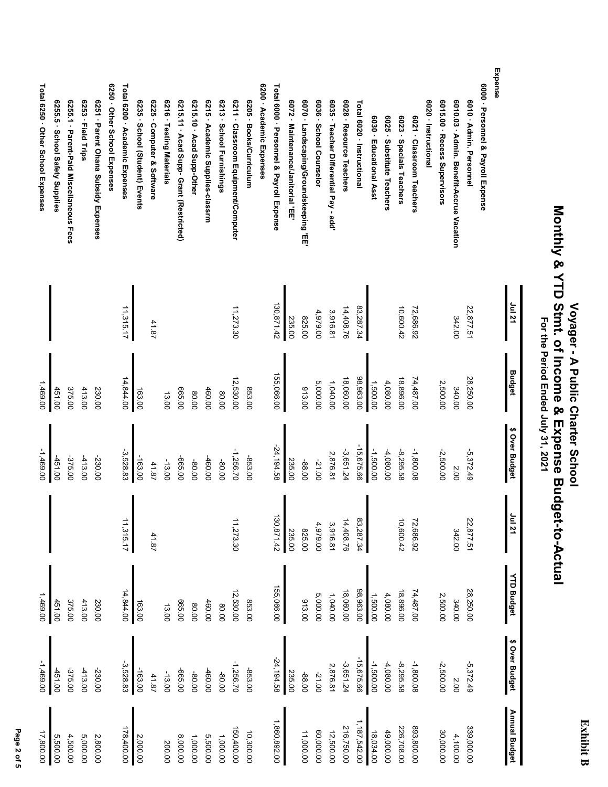# Voyager - A Public Charter School<br>Monthly & YTD Stmt. of Income & Expense Budget-to-Actual<br>For the Period Ended July 31, 2021  **Monthly & YTD Stmt. of Income & Expense Budget-to-Actual Voyager - A Public Charter School**

 **For the Period Ended July 31, 2021**

|                                             | 14 Iul     | <b>Budget</b> | \$ Over Budget | Jul 21     | <b>YTD Budget</b> | \$ Over Budget | <b>Annual Budget</b> |
|---------------------------------------------|------------|---------------|----------------|------------|-------------------|----------------|----------------------|
| Expense                                     |            |               |                |            |                   |                |                      |
| 6000 · Personnel & Payroll Expense          |            |               |                |            |                   |                |                      |
| 6010 Admin. Personnel                       | 22,877.51  | 28,250.00     | $-5, 372.49$   | 22,877.51  | 28,250.00         | $-5, 372.49$   | 339,000.00           |
| 6010.03 · Admin. Benefit-Accrue Vacation    | 342.00     | 340.00        | 2.00           | 342.00     | 340.00            | 2.00           | 4,100.00             |
| 6015.00 · Recess Supervisors                |            | 2,500.00      | $-2,500.00$    |            | 2,500.00          | $-2,500.00$    | 30,000.00            |
| 6020 - Instructional                        |            |               |                |            |                   |                |                      |
| 6021 · Classroom Teachers                   | 72,686.92  | 74,487.00     | $-1,800.08$    | 72,686.92  | 74,487.00         | $-1,800.08$    | 893,800.00           |
| 6023 · Specials Teachers                    | 10,600.42  | 18,896.00     | -8,295.58      | 10,600.42  | 18,896.00         | -8,295.58      | 226,708.00           |
| 6025 · Substitute Teachers                  |            | 4,080.00      | $-4,080.00$    |            | 4,080.00          | $-4,080.00$    | 49,000.00            |
| 6030 · Educational Asst                     |            | 1,500.00      | -1,500.00      |            | 1,500.00          | $-1,500.00$    | 18,034.00            |
| Total 6020 · Instructional                  | 83,287.34  | 98,963.00     | -15,675.66     | 83,287.34  | 98,963.00         | $-15,675.66$   | 1,187,542.00         |
| 6028 · Resource Teachers                    | 14,408.76  | 18,060.00     | $-3,651.24$    | 14,408.76  | 18,060.00         | $-3,651.24$    | 216,750.00           |
| 6035 · Teacher Differential Pay - add       | 3,916.81   | 1,040.00      | 2,876.81       | 3,916.81   | 1,040.00          | 2,876.81       | 12,500.00            |
| 6036 · School Counselor                     | 4,979.00   | 5,000.00      | -21.00         | 4,979.00   | 5,000.00          | -21.00         | 60,000.00            |
| $6070 -$<br>Landscaping/Groundskeeping 'EE' | 825.00     | 913.00        | -88.00         | 825.00     | 913.00            | -88.00         | 11,000.00            |
| 6072 · Maintenance/Janitorial 'EE'          | 235.00     |               | 235.00         | 235.00     |                   | 235.00         |                      |
| Total 6000 · Personnel & Payroll Expense    | 130,871.42 | 155,066.00    | $-24, 194.58$  | 130,871.42 | 155,066.00        | $-24, 194.58$  | 1,860,892.00         |
| 6200 - Academic Expenses                    |            |               |                |            |                   |                |                      |
| 6205 · Books/Curriculum                     |            | 853.00        | -853.00        |            | 853.00            | -853.00        | 10,300.00            |
| 6211 · Classroom Equipment/Computer         | 11,273.30  | 12,530.00     | -1,256.70      | 11,273.30  | 12,530.00         | $-1,256.70$    | 150,400.00           |
| 6213 · School Furnishings                   |            | 80.00         | -80.00         |            | 00.08             | -80.00         | 1,000.00             |
| 6215 Academic Supplies-classrm              |            | 460.00        | -460.00        |            | 460.00            | -460.00        | 5,500.00             |
| 6215.10 - Acad Supp-Other                   |            | 80.00         | -80.00         |            | 00.08             | -80.00         | 1,000.00             |
| 6215.11 - Acad Supp- Grant (Restricted)     |            | 665.00        | 00'599-        |            | 00'599            | -665.00        | 8,000.00             |
| 6216 · Testing Materials                    |            | 13.00         | $-13.00$       |            | 13.00             | $-13.00$       | 200.00               |
| 6225 · Computer & Software                  | 41.87      |               | 41.87          | 41.87      |                   | 41.87          |                      |
| 6235 · School (Student) Events              |            | 163.00        | $-163.00$      |            | 163.00            | $-163.00$      | 2,000.00             |
| Total 6200 · Academic Expenses              | 11,315.17  | 14,844.00     | $-3,528.83$    | 11,315.17  | 14,844.00         | $-3,528.83$    | 178,400.00           |
| 6250 · Other School Expenses                |            |               |                |            |                   |                |                      |
| 6251 - Parent Ohana Subsidy Expenses        |            | 230.00        | -230.00        |            | 230.00            | -230.00        | 2,800.00             |
| 6253 · Field Trips                          |            | 413.00        | 413.00         |            | 413.00            | $-413.00$      | 5,000.00             |
| 625.1 · Parent-Paid Miscellaneous Pees      |            | 375.00        | -375.00        |            | 375.00            | $-375.00$      | 4,500.00             |
| <b>S255.5</b><br>- School Safety Supplies   |            | 451.00        | 451.00         |            | 451.00            | -451.00        | 5,500.00             |
| Total 6250 · Other School Expenses          |            | 1,469.00      | $-1,469.00$    |            | 1,469.00          | -1,469.00      | 17,800.00            |

Page 2 of 5  **Page 2 of 5**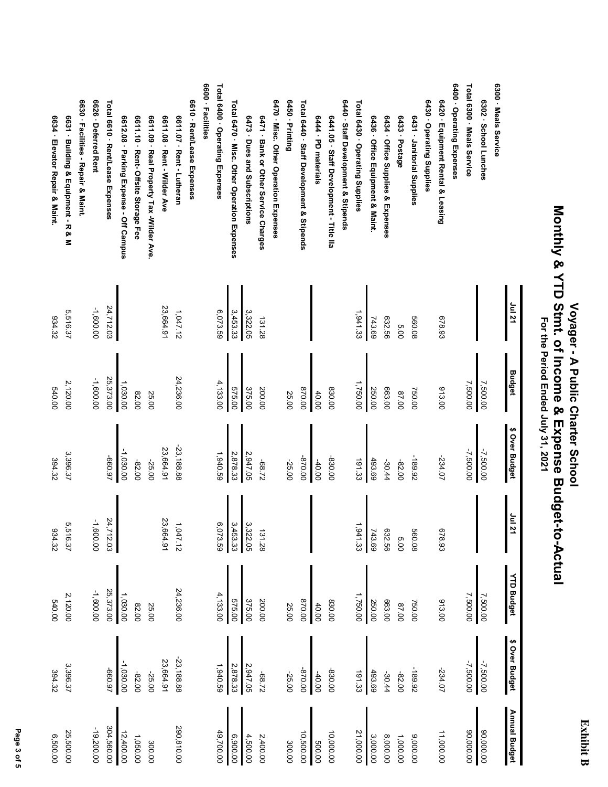| ╌ |  |
|---|--|
|   |  |

### Voyager - A Public Charter School<br>Monthly & YTD Stmt. of Income & Expense Budget-to-Actual<br>For the Period Ended July 31, 2021  **Monthly & YTD Stmt. of Income & Expense Budget-to-Actual Voyager - A Public Charter School For the Period Ended July 31, 2021**

|                                             | <b>14121</b> | <b>Budget</b> | \$ Over Budget | Jul 21       | <b>YTD Budget</b> | \$ Over Budget | Annual Budget |
|---------------------------------------------|--------------|---------------|----------------|--------------|-------------------|----------------|---------------|
| 6300 · Meals Service                        |              |               |                |              |                   |                |               |
| 6302 · School Lunches                       |              | 7,500.00      | -7,500.00      |              | 7,500.00          | -7,500.00      | 00.000,09     |
| Total 6300 · Meals Service                  |              | 7,500.00      | -7,500.00      |              | 7,500.00          | -7,500.00      | 00'000'06     |
| 6400 · Operating Expenses                   |              |               |                |              |                   |                |               |
| 6420 · Equipment Rental & Leasing           | 678.93       | 913.00        | -234.07        | 678.93       | 003.00            | -234.07        | 11,000.00     |
| 6430 - Operating Supplies                   |              |               |                |              |                   |                |               |
| 6431 - Janitorial Supplies                  | 560.08       | 750.00        | -189.92        | 560.08       | 750.00            | -189.92        | 00.000,9      |
| 6433 - Postage                              | 00.5         | 00'28         | -82.00         | 00'S         | 00'28             | $-82.00$       | 1,000.00      |
| 6434 · Office Supplies & Expenses           | 632.56       | 663.00        | -30.44         | 632.56       | 663.00            | $-30.44$       | 8,000.00      |
| 6436 · Office Equipment & Maint.            | 743.69       | 250.00        | 493.69         | 743.69       | 250.00            | 493.69         | 3,000.00      |
| Total 6430 · Operating Supplies             | 1,941.33     | 1,750.00      | 191.33         | 1,941.33     | 1,750.00          | 191.33         | 21,000.00     |
| 6440 · Staff Development & Stipends         |              |               |                |              |                   |                |               |
| 6441.05 · Staff Development - Title Ila     |              | 830.00        | 00.08-         |              | 830.00            | -830.00        | 10,000.00     |
| 644 - PD materials                          |              | 40.00         | $-40.00$       |              | 40.00             | -40.00         | 500.00        |
| Total 6440 · Staff Development & Stipends   |              | 00'028        | 00.078-        |              | 00'028            | 00'028-        | 10,500.00     |
| 6450 - Printing                             |              | 25.00         | -25.00         |              | 25.00             | $-25.00$       | 300.00        |
| 6470 - Misc. Other Operation Expenses       |              |               |                |              |                   |                |               |
| 6471 · Bank or Other Service Charges        | 131.28       | 200.00        | -68.72         | 131.28       | 200.00            | -68.72         | 2,400.00      |
| 6473 · Dues and Subscriptions               | 3,322.05     | 375.00        | 2,947.05       | يب<br>322.05 | 375.00            | 2,947.05       | 4,500.00      |
| Total 6470 · Misc. Other Operation Expenses | 3,453.33     | 575.00        | 2,878.33       | مي<br>453.33 | 575.00            | 2,878.33       | 6,900.00      |
| Total 6400 · Operating Expenses             | 6,073.59     | 4,133.00      | 1,940.59       | Ō.<br>073.59 | 4,133.00          | 1,940.59       | 49,700.00     |
| 6600 · Facilities                           |              |               |                |              |                   |                |               |
| 6610 · Rent/Lease Expenses                  |              |               |                |              |                   |                |               |
| <b>6011.01 - Rent - Lutheran</b>            | 1,047.12     | 24,236.00     | $-23, 188.88$  | 1,047.12     | 24,236.00         | $-23,188.88$   | 290,810.00    |
| 6611.08 · Rent - Wilder Ave                 | 23,664.91    |               | 23,664.91      | 23,664.91    |                   | 23,664.91      |               |
| 6611.09 · Real Property Tax -Wilder Ave.    |              | 25.00         | $-25.00$       |              | 25.00             | -25.00         | 300.00        |
| 6611.10 · Rent-Offsite Storage Fee          |              | 00.28         | $-82.00$       |              | 00.28             | $-82.00$       | 1,050.00      |
| 6612.08 · Parking Expense - Off Campus      |              | 1,030.00      | -1,030.00      |              | 1,030.00          | -1,030.00      | 12,400.00     |
| Total 6610 · Rent/Lease Expenses            | 24,712.03    | 25,373.00     | -660.97        | 24,712.03    | 25,373.00         | -660.97        | 304,560.00    |
| 6626 · Deferred Rent                        | -1,600.00    | $-1,600.00$   |                | -1,600.00    | -1,600.00         |                | $-19,200.00$  |
| 6630 · Facilities - Repair & Maint.         |              |               |                |              |                   |                |               |
| 6631 · Building & Equipment - R & M         | 5,516.37     | 2,120.00      | 3,396.37       | 5,516.37     | 2,120.00          | 3,396.37       | 25,500.00     |
| 6634 · Elevator Repair & Maint.             | 324.32       | 540.00        | 394.32         | 934.32       | 00'0+5            | 394.32         | 6,500.00      |

Page 3 of 5  **Page 3 of 5**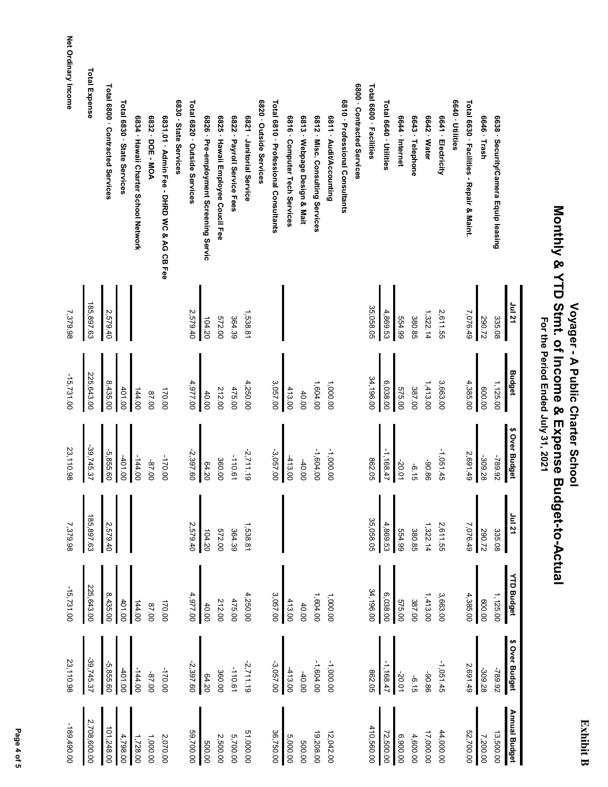| Ξ<br>۳ |  |
|--------|--|

## Voyager - A Public Charter School<br>Monthly & YTD Stmt. of Income & Expense Budget-to-Actual<br>For the Period Ended July 31, 2021  **Monthly & YTD Stmt. of Income & Expense Budget-to-Actual Voyager - A Public Charter School For the Period Ended July 31, 2021**

|                                           | <b>14121</b> | <b>Budget</b> | \$ Over Budget | 1u1 21     | <b>YTD Budget</b> | \$ Over Budget | Annual Budget |
|-------------------------------------------|--------------|---------------|----------------|------------|-------------------|----------------|---------------|
| 6638 · Security/Camera Equip leasing      | 335.08       | 1,125.00      | -789.92        | 335.08     | 1,125.00          | -789.92        | 13,500.00     |
| 6646 · Trash                              | 290.72       | 00'009        | -309.28        | 290.72     | 00'009            | -309.28        | 7,200.00      |
| Total 6630 · Facilities - Repair & Maint. | 7,076.49     | 4,385.00      | 2,691.49       | 7,076.49   | 4,385.00          | 2,691.49       | 52,700.00     |
| 6640 · Utilities                          |              |               |                |            |                   |                |               |
| 6641 - Electricity                        | 2,611.55     | 3,663.00      | $-1,051.45$    | 2,611.55   | 3,663.00          | $-1,051.45$    | 44,000.00     |
| 6642 · Water                              | 1,322.14     | 1,413.00      | -90.86         | 1,322.14   | 1,413.00          | -90.86         | 17,000.00     |
| 6643 · Telephone                          | 380.85       | 387.00        | $-6.15$        | 380.85     | 387.00            | $-6.15$        | 4,600.00      |
| 6644 - Internet                           | 66'79        | 575.00        | -20.01         | 554.99     | 575.00            | -20.01         | 6,900.00      |
| Total 6640 · Utilities                    | 4,869.53     | 6,038.00      | $-1,168.47$    | 4,869.53   | 6,038.00          | $-1,168.47$    | 72,500.00     |
| Total 6600 · Facilities                   | 35,058.05    | 34,196.00     | 862.05         | 35,058.05  | 34,196.00         | 862.05         | 410,560.00    |
| 6800 · Contracted Services                |              |               |                |            |                   |                |               |
| 6810 · Professional Consultants           |              |               |                |            |                   |                |               |
| 6811 - Audit/Accounting                   |              | 1,000.00      | 00'000'1-      |            | 1,000.00          | 00'000'1-      | 12,042.00     |
| 6812 · Misc. Consulting Services          |              | 1,604.00      | -1,604.00      |            | 1,604.00          | $-1,604.00$    | 19,208.00     |
| 6813 · Webpage Design & Mait              |              | 40.00         | -40.00         |            | 40.00             | -40.00         | 500.00        |
| 6816 · Computer Tech Services             |              | 413.00        | 413.00         |            | 413.00            | $-413.00$      | 5,000.00      |
| Total 6810 · Professional Consultants     |              | 3,057.00      | $-3,057.00$    |            | 3,057.00          | $-3,057.00$    | 36,750.00     |
| 6820 - Outside Services                   |              |               |                |            |                   |                |               |
| 6821 - Janitorial Service                 | 1,538.81     | 4,250.00      | $-2,711.19$    | 1,538.81   | 4,250.00          | $-2,711.19$    | 00'000'19     |
| 6822 · Payroll Service Fees               | 364.39       | 475.00        | -110.61        | 364.39     | 475.00            | $-110.61$      | 5,700.00      |
| 6825 · Hawaii Employee Coucil Fee         | 572.00       | 212.00        | 360.00         | 572.00     | 212.00            | 360.00         | 2,500.00      |
| 6826 · Pre-employment Screening Servic    | 104.20       | 40.00         | 64.20          | 104.20     | 40.00             | 64.20          | 500.00        |
| Total 6820 · Outside Services             | 2,579.40     | 4,977.00      | 2,397.60       | 2,579.40   | 4,977.00          | $-2,397.60$    | 59,700.00     |
| 6830 - State Services                     |              |               |                |            |                   |                |               |
| 6831.01 - Admin Fee - DHRD WC & AG CB Fee |              | 170.00        | -170.00        |            | 170.00            | -170.00        | 2,070.00      |
| 6832 - DOE - MOA                          |              | 00'28         | 00'28-         |            | 00'28             | 00'28-         | 1,000.00      |
| 6834 · Hawaii Charter School Network      |              | 144.00        | $-144.00$      |            | 144.00            | $-144.00$      | 1,728.00      |
| Total 6830 · State Services               |              | 401.00        | 401.00         |            | 401.00            | -401.00        | 4,798.00      |
| Total 6800 · Contracted Services          | 2,579.40     | 8,435.00      | -5,855.60      | 2,579.40   | 8,435.00          | -5,855.60      | 101,248.00    |
| <b>Total Expense</b>                      | 185,897.63   | 225,643.00    | -39,745.37     | 185,897.63 | 225,643.00        | $-39,745.37$   | 2,708,600.00  |
| <b>Net Ordinary Income</b>                | 7,379.98     | $-15,731.00$  | 23,110.98      | 7,379.98   | $-15,731.00$      | 23,110.98      | -189,490.00   |

Page 4 of 5  **Page 4 of 5**